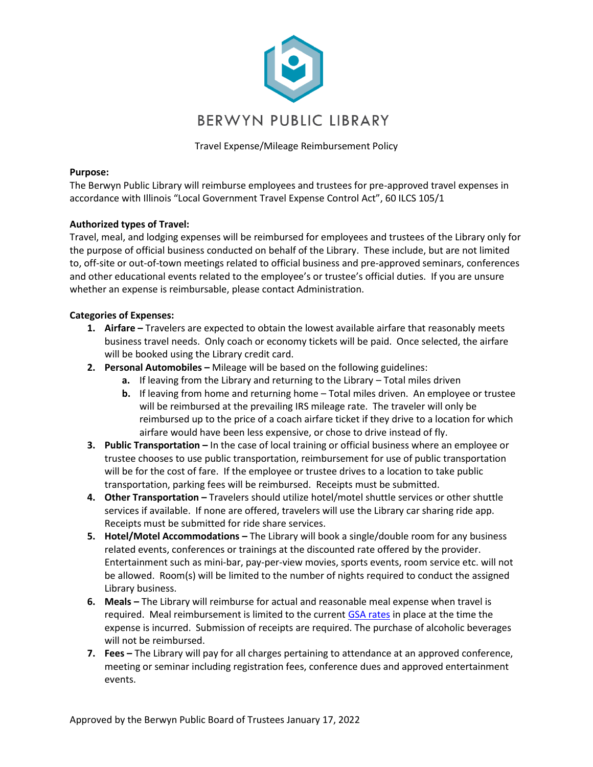

Travel Expense/Mileage Reimbursement Policy

## **Purpose:**

The Berwyn Public Library will reimburse employees and trustees for pre-approved travel expenses in accordance with Illinois "Local Government Travel Expense Control Act", 60 ILCS 105/1

# **Authorized types of Travel:**

Travel, meal, and lodging expenses will be reimbursed for employees and trustees of the Library only for the purpose of official business conducted on behalf of the Library. These include, but are not limited to, off-site or out-of-town meetings related to official business and pre-approved seminars, conferences and other educational events related to the employee's or trustee's official duties. If you are unsure whether an expense is reimbursable, please contact Administration.

# **Categories of Expenses:**

- **1.** Airfare Travelers are expected to obtain the lowest available airfare that reasonably meets business travel needs. Only coach or economy tickets will be paid. Once selected, the airfare will be booked using the Library credit card.
- **2. Personal Automobiles -** Mileage will be based on the following guidelines:
	- **a.** If leaving from the Library and returning to the Library Total miles driven
	- **b.** If leaving from home and returning home Total miles driven. An employee or trustee will be reimbursed at the prevailing IRS mileage rate. The traveler will only be reimbursed up to the price of a coach airfare ticket if they drive to a location for which airfare would have been less expensive, or chose to drive instead of fly.
- **3. Public Transportation –** In the case of local training or official business where an employee or trustee chooses to use public transportation, reimbursement for use of public transportation will be for the cost of fare. If the employee or trustee drives to a location to take public transportation, parking fees will be reimbursed. Receipts must be submitted.
- **4. Other Transportation –** Travelers should utilize hotel/motel shuttle services or other shuttle services if available. If none are offered, travelers will use the Library car sharing ride app. Receipts must be submitted for ride share services.
- **5. Hotel/Motel Accommodations –** The Library will book a single/double room for any business related events, conferences or trainings at the discounted rate offered by the provider. Entertainment such as mini-bar, pay-per-view movies, sports events, room service etc. will not be allowed. Room(s) will be limited to the number of nights required to conduct the assigned Library business.
- **6. Meals –** The Library will reimburse for actual and reasonable meal expense when travel is required. Meal reimbursement is limited to the current [GSA rates](https://www.gsa.gov/travel/plan-book/per-diem-rates) in place at the time the expense is incurred. Submission of receipts are required. The purchase of alcoholic beverages will not be reimbursed.
- **7. Fees –** The Library will pay for all charges pertaining to attendance at an approved conference, meeting or seminar including registration fees, conference dues and approved entertainment events.